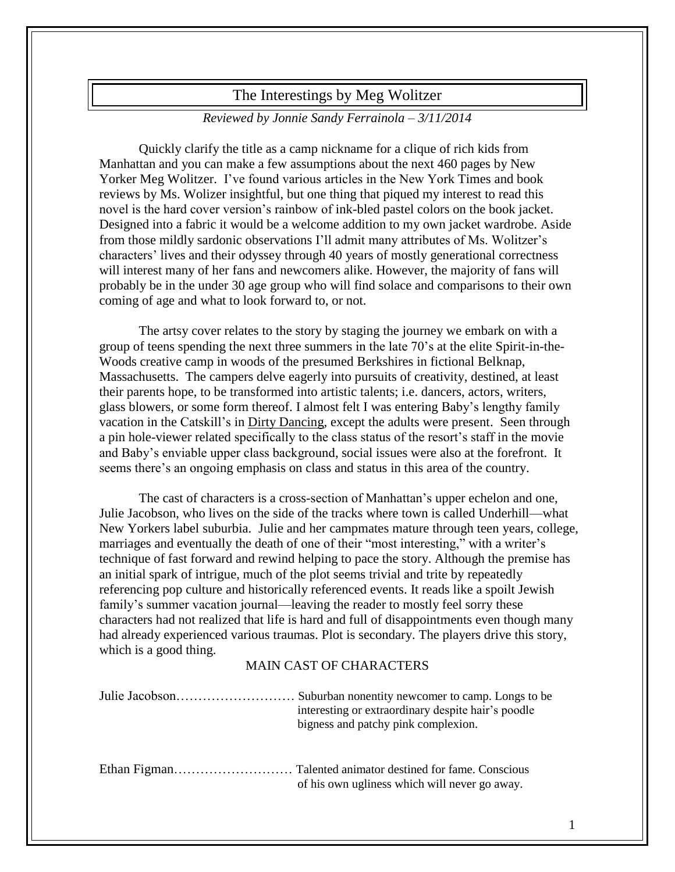## The Interestings by Meg Wolitzer

## *Reviewed by Jonnie Sandy Ferrainola – 3/11/2014*

Quickly clarify the title as a camp nickname for a clique of rich kids from Manhattan and you can make a few assumptions about the next 460 pages by New Yorker Meg Wolitzer. I've found various articles in the New York Times and book reviews by Ms. Wolizer insightful, but one thing that piqued my interest to read this novel is the hard cover version's rainbow of ink-bled pastel colors on the book jacket. Designed into a fabric it would be a welcome addition to my own jacket wardrobe. Aside from those mildly sardonic observations I'll admit many attributes of Ms. Wolitzer's characters' lives and their odyssey through 40 years of mostly generational correctness will interest many of her fans and newcomers alike. However, the majority of fans will probably be in the under 30 age group who will find solace and comparisons to their own coming of age and what to look forward to, or not.

The artsy cover relates to the story by staging the journey we embark on with a group of teens spending the next three summers in the late 70's at the elite Spirit-in-the-Woods creative camp in woods of the presumed Berkshires in fictional Belknap, Massachusetts. The campers delve eagerly into pursuits of creativity, destined, at least their parents hope, to be transformed into artistic talents; i.e. dancers, actors, writers, glass blowers, or some form thereof. I almost felt I was entering Baby's lengthy family vacation in the Catskill's in Dirty Dancing, except the adults were present. Seen through a pin hole-viewer related specifically to the class status of the resort's staff in the movie and Baby's enviable upper class background, social issues were also at the forefront. It seems there's an ongoing emphasis on class and status in this area of the country.

The cast of characters is a cross-section of Manhattan's upper echelon and one, Julie Jacobson, who lives on the side of the tracks where town is called Underhill—what New Yorkers label suburbia. Julie and her campmates mature through teen years, college, marriages and eventually the death of one of their "most interesting," with a writer's technique of fast forward and rewind helping to pace the story. Although the premise has an initial spark of intrigue, much of the plot seems trivial and trite by repeatedly referencing pop culture and historically referenced events. It reads like a spoilt Jewish family's summer vacation journal—leaving the reader to mostly feel sorry these characters had not realized that life is hard and full of disappointments even though many had already experienced various traumas. Plot is secondary. The players drive this story, which is a good thing.

## MAIN CAST OF CHARACTERS

| interesting or extraordinary despite hair's poodle<br>bigness and patchy pink complexion. |
|-------------------------------------------------------------------------------------------|
| of his own ugliness which will never go away.                                             |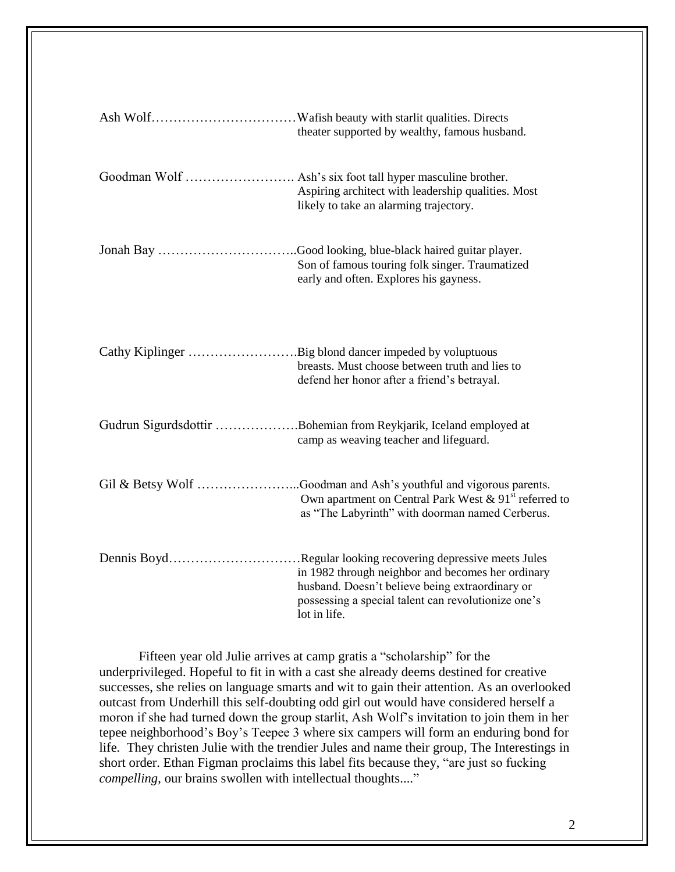| theater supported by wealthy, famous husband.                                                                                                                                                                                               |
|---------------------------------------------------------------------------------------------------------------------------------------------------------------------------------------------------------------------------------------------|
| Aspiring architect with leadership qualities. Most<br>likely to take an alarming trajectory.                                                                                                                                                |
| Son of famous touring folk singer. Traumatized<br>early and often. Explores his gayness.                                                                                                                                                    |
| Cathy Kiplinger Big blond dancer impeded by voluptuous<br>breasts. Must choose between truth and lies to<br>defend her honor after a friend's betrayal.                                                                                     |
| Gudrun Sigurdsdottir Bohemian from Reykjarik, Iceland employed at<br>camp as weaving teacher and lifeguard.                                                                                                                                 |
| Own apartment on Central Park West & 91 <sup>st</sup> referred to<br>as "The Labyrinth" with doorman named Cerberus.                                                                                                                        |
| Dennis BoydRegular looking recovering depressive meets Jules<br>in 1982 through neighbor and becomes her ordinary<br>husband. Doesn't believe being extraordinary or<br>possessing a special talent can revolutionize one's<br>lot in life. |

Fifteen year old Julie arrives at camp gratis a "scholarship" for the underprivileged. Hopeful to fit in with a cast she already deems destined for creative successes, she relies on language smarts and wit to gain their attention. As an overlooked outcast from Underhill this self-doubting odd girl out would have considered herself a moron if she had turned down the group starlit, Ash Wolf's invitation to join them in her tepee neighborhood's Boy's Teepee 3 where six campers will form an enduring bond for life. They christen Julie with the trendier Jules and name their group, The Interestings in short order. Ethan Figman proclaims this label fits because they, "are just so fucking *compelling*, our brains swollen with intellectual thoughts...."